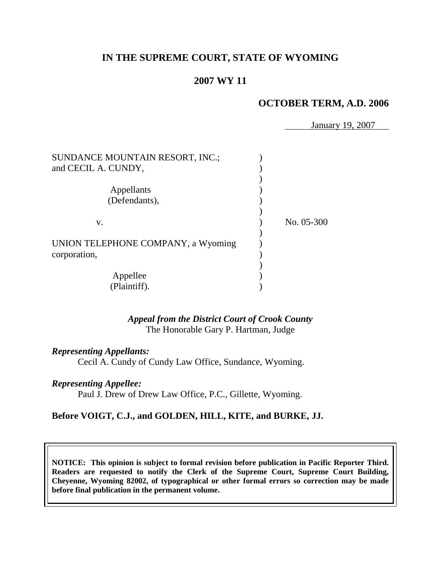# **IN THE SUPREME COURT, STATE OF WYOMING**

# **2007 WY 11**

## **OCTOBER TERM, A.D. 2006**

January 19, 2007

| SUNDANCE MOUNTAIN RESORT, INC.;    |            |
|------------------------------------|------------|
| and CECIL A. CUNDY,                |            |
|                                    |            |
| Appellants                         |            |
| (Defendants),                      |            |
|                                    | No. 05-300 |
| V.                                 |            |
| UNION TELEPHONE COMPANY, a Wyoming |            |
| corporation,                       |            |
|                                    |            |
| Appellee                           |            |
| (Plaintiff).                       |            |

*Appeal from the District Court of Crook County* The Honorable Gary P. Hartman, Judge

*Representing Appellants:*

Cecil A. Cundy of Cundy Law Office, Sundance, Wyoming.

#### *Representing Appellee:*

Paul J. Drew of Drew Law Office, P.C., Gillette, Wyoming.

### **Before VOIGT, C.J., and GOLDEN, HILL, KITE, and BURKE, JJ.**

**NOTICE: This opinion is subject to formal revision before publication in Pacific Reporter Third. Readers are requested to notify the Clerk of the Supreme Court, Supreme Court Building, Cheyenne, Wyoming 82002, of typographical or other formal errors so correction may be made before final publication in the permanent volume.**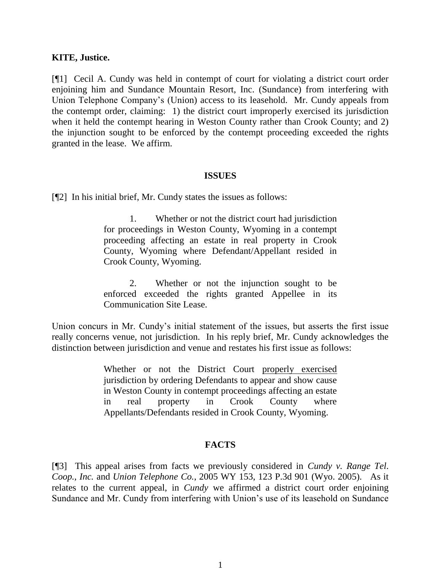#### **KITE, Justice.**

[¶1] Cecil A. Cundy was held in contempt of court for violating a district court order enjoining him and Sundance Mountain Resort, Inc. (Sundance) from interfering with Union Telephone Company's (Union) access to its leasehold. Mr. Cundy appeals from the contempt order, claiming: 1) the district court improperly exercised its jurisdiction when it held the contempt hearing in Weston County rather than Crook County; and 2) the injunction sought to be enforced by the contempt proceeding exceeded the rights granted in the lease. We affirm.

#### **ISSUES**

[¶2] In his initial brief, Mr. Cundy states the issues as follows:

1. Whether or not the district court had jurisdiction for proceedings in Weston County, Wyoming in a contempt proceeding affecting an estate in real property in Crook County, Wyoming where Defendant/Appellant resided in Crook County, Wyoming.

2. Whether or not the injunction sought to be enforced exceeded the rights granted Appellee in its Communication Site Lease.

Union concurs in Mr. Cundy's initial statement of the issues, but asserts the first issue really concerns venue, not jurisdiction. In his reply brief, Mr. Cundy acknowledges the distinction between jurisdiction and venue and restates his first issue as follows:

> Whether or not the District Court properly exercised jurisdiction by ordering Defendants to appear and show cause in Weston County in contempt proceedings affecting an estate in real property in Crook County where Appellants/Defendants resided in Crook County, Wyoming.

### **FACTS**

[¶3] This appeal arises from facts we previously considered in *Cundy v. Range Tel. Coop., Inc.* and *Union Telephone Co.*, 2005 WY 153, 123 P.3d 901 (Wyo. 2005). As it relates to the current appeal, in *Cundy* we affirmed a district court order enjoining Sundance and Mr. Cundy from interfering with Union's use of its leasehold on Sundance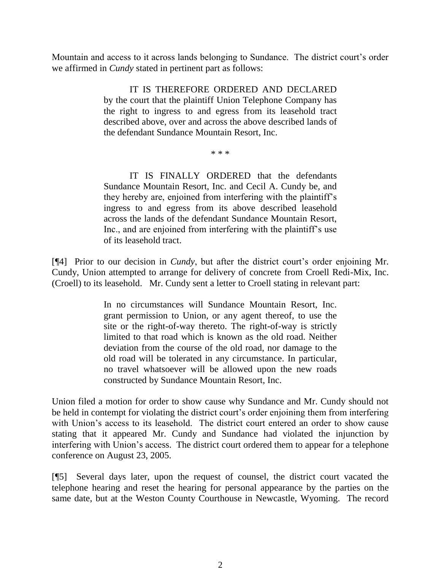Mountain and access to it across lands belonging to Sundance. The district court's order we affirmed in *Cundy* stated in pertinent part as follows:

> IT IS THEREFORE ORDERED AND DECLARED by the court that the plaintiff Union Telephone Company has the right to ingress to and egress from its leasehold tract described above, over and across the above described lands of the defendant Sundance Mountain Resort, Inc.

> > \* \* \*

IT IS FINALLY ORDERED that the defendants Sundance Mountain Resort, Inc. and Cecil A. Cundy be, and they hereby are, enjoined from interfering with the plaintiff's ingress to and egress from its above described leasehold across the lands of the defendant Sundance Mountain Resort, Inc., and are enjoined from interfering with the plaintiff's use of its leasehold tract.

[¶4] Prior to our decision in *Cundy*, but after the district court's order enjoining Mr. Cundy, Union attempted to arrange for delivery of concrete from Croell Redi-Mix, Inc. (Croell) to its leasehold. Mr. Cundy sent a letter to Croell stating in relevant part:

> In no circumstances will Sundance Mountain Resort, Inc. grant permission to Union, or any agent thereof, to use the site or the right-of-way thereto. The right-of-way is strictly limited to that road which is known as the old road. Neither deviation from the course of the old road, nor damage to the old road will be tolerated in any circumstance. In particular, no travel whatsoever will be allowed upon the new roads constructed by Sundance Mountain Resort, Inc.

Union filed a motion for order to show cause why Sundance and Mr. Cundy should not be held in contempt for violating the district court's order enjoining them from interfering with Union's access to its leasehold. The district court entered an order to show cause stating that it appeared Mr. Cundy and Sundance had violated the injunction by interfering with Union's access. The district court ordered them to appear for a telephone conference on August 23, 2005.

[¶5] Several days later, upon the request of counsel, the district court vacated the telephone hearing and reset the hearing for personal appearance by the parties on the same date, but at the Weston County Courthouse in Newcastle, Wyoming. The record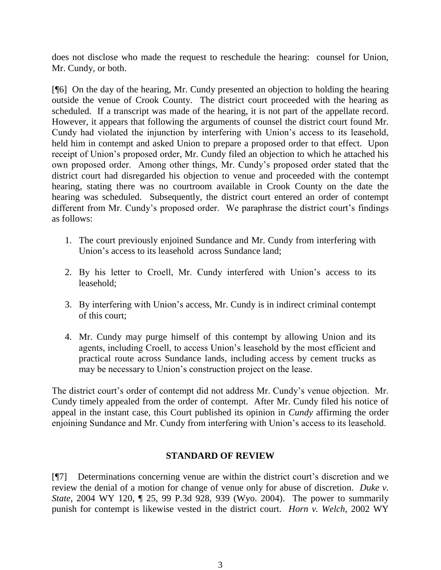does not disclose who made the request to reschedule the hearing: counsel for Union, Mr. Cundy, or both.

[¶6] On the day of the hearing, Mr. Cundy presented an objection to holding the hearing outside the venue of Crook County. The district court proceeded with the hearing as scheduled. If a transcript was made of the hearing, it is not part of the appellate record. However, it appears that following the arguments of counsel the district court found Mr. Cundy had violated the injunction by interfering with Union's access to its leasehold, held him in contempt and asked Union to prepare a proposed order to that effect. Upon receipt of Union's proposed order, Mr. Cundy filed an objection to which he attached his own proposed order. Among other things, Mr. Cundy's proposed order stated that the district court had disregarded his objection to venue and proceeded with the contempt hearing, stating there was no courtroom available in Crook County on the date the hearing was scheduled. Subsequently, the district court entered an order of contempt different from Mr. Cundy's proposed order. We paraphrase the district court's findings as follows:

- 1. The court previously enjoined Sundance and Mr. Cundy from interfering with Union's access to its leasehold across Sundance land;
- 2. By his letter to Croell, Mr. Cundy interfered with Union's access to its leasehold;
- 3. By interfering with Union's access, Mr. Cundy is in indirect criminal contempt of this court;
- 4. Mr. Cundy may purge himself of this contempt by allowing Union and its agents, including Croell, to access Union's leasehold by the most efficient and practical route across Sundance lands, including access by cement trucks as may be necessary to Union's construction project on the lease.

The district court's order of contempt did not address Mr. Cundy's venue objection. Mr. Cundy timely appealed from the order of contempt. After Mr. Cundy filed his notice of appeal in the instant case, this Court published its opinion in *Cundy* affirming the order enjoining Sundance and Mr. Cundy from interfering with Union's access to its leasehold.

# **STANDARD OF REVIEW**

[¶7] Determinations concerning venue are within the district court's discretion and we review the denial of a motion for change of venue only for abuse of discretion. *Duke v. State*, 2004 WY 120, ¶ 25, 99 P.3d 928, 939 (Wyo. 2004). The power to summarily punish for contempt is likewise vested in the district court. *Horn v. Welch*, 2002 WY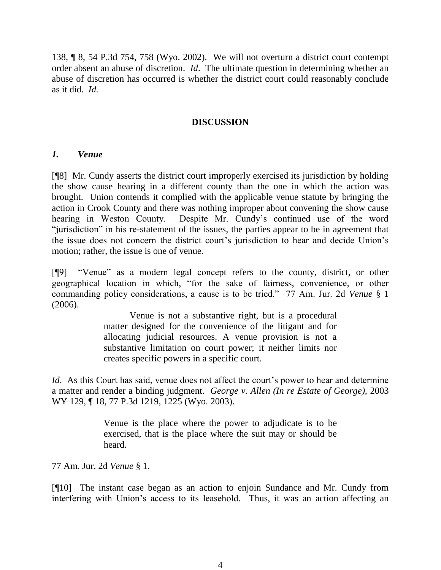138, ¶ 8, 54 P.3d 754, 758 (Wyo. 2002). We will not overturn a district court contempt order absent an abuse of discretion. *Id*. The ultimate question in determining whether an abuse of discretion has occurred is whether the district court could reasonably conclude as it did. *Id.*

## **DISCUSSION**

### *1. Venue*

[¶8] Mr. Cundy asserts the district court improperly exercised its jurisdiction by holding the show cause hearing in a different county than the one in which the action was brought. Union contends it complied with the applicable venue statute by bringing the action in Crook County and there was nothing improper about convening the show cause hearing in Weston County. Despite Mr. Cundy's continued use of the word "jurisdiction" in his re-statement of the issues, the parties appear to be in agreement that the issue does not concern the district court's jurisdiction to hear and decide Union's motion; rather, the issue is one of venue.

[¶9] "Venue" as a modern legal concept refers to the county, district, or other geographical location in which, "for the sake of fairness, convenience, or other commanding policy considerations, a cause is to be tried." 77 Am. Jur. 2d *Venue* § 1 (2006).

> Venue is not a substantive right, but is a procedural matter designed for the convenience of the litigant and for allocating judicial resources. A venue provision is not a substantive limitation on court power; it neither limits nor creates specific powers in a specific court.

*Id.* As this Court has said, venue does not affect the court's power to hear and determine a matter and render a binding judgment. *George v. Allen (In re Estate of George),* 2003 WY 129, ¶ 18, 77 P.3d 1219, 1225 (Wyo. 2003).

> Venue is the place where the power to adjudicate is to be exercised, that is the place where the suit may or should be heard.

77 Am. Jur. 2d *Venue* § 1.

[¶10] The instant case began as an action to enjoin Sundance and Mr. Cundy from interfering with Union's access to its leasehold. Thus, it was an action affecting an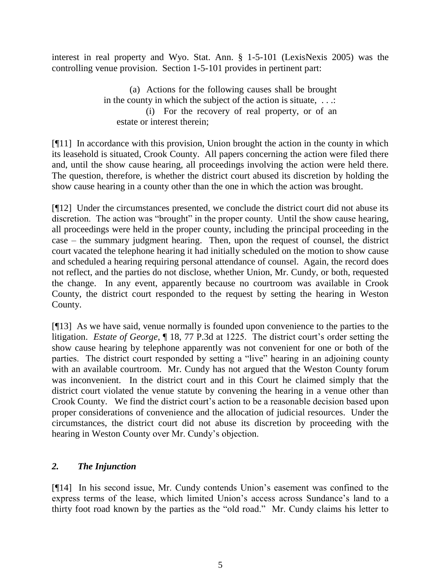interest in real property and Wyo. Stat. Ann. § 1-5-101 (LexisNexis 2005) was the controlling venue provision. Section 1-5-101 provides in pertinent part:

> (a) Actions for the following causes shall be brought in the county in which the subject of the action is situate, ...: (i) For the recovery of real property, or of an estate or interest therein;

[¶11] In accordance with this provision, Union brought the action in the county in which its leasehold is situated, Crook County. All papers concerning the action were filed there and, until the show cause hearing, all proceedings involving the action were held there. The question, therefore, is whether the district court abused its discretion by holding the show cause hearing in a county other than the one in which the action was brought.

[¶12] Under the circumstances presented, we conclude the district court did not abuse its discretion. The action was "brought" in the proper county. Until the show cause hearing, all proceedings were held in the proper county, including the principal proceeding in the case – the summary judgment hearing. Then, upon the request of counsel, the district court vacated the telephone hearing it had initially scheduled on the motion to show cause and scheduled a hearing requiring personal attendance of counsel. Again, the record does not reflect, and the parties do not disclose, whether Union, Mr. Cundy, or both, requested the change. In any event, apparently because no courtroom was available in Crook County, the district court responded to the request by setting the hearing in Weston County.

[¶13] As we have said, venue normally is founded upon convenience to the parties to the litigation. *Estate of George*, ¶ 18, 77 P.3d at 1225. The district court's order setting the show cause hearing by telephone apparently was not convenient for one or both of the parties. The district court responded by setting a "live" hearing in an adjoining county with an available courtroom. Mr. Cundy has not argued that the Weston County forum was inconvenient. In the district court and in this Court he claimed simply that the district court violated the venue statute by convening the hearing in a venue other than Crook County. We find the district court's action to be a reasonable decision based upon proper considerations of convenience and the allocation of judicial resources. Under the circumstances, the district court did not abuse its discretion by proceeding with the hearing in Weston County over Mr. Cundy's objection.

# *2. The Injunction*

[¶14] In his second issue, Mr. Cundy contends Union's easement was confined to the express terms of the lease, which limited Union's access across Sundance's land to a thirty foot road known by the parties as the "old road." Mr. Cundy claims his letter to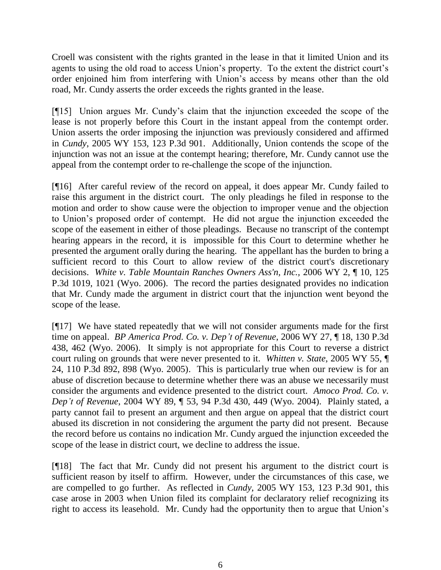Croell was consistent with the rights granted in the lease in that it limited Union and its agents to using the old road to access Union's property. To the extent the district court's order enjoined him from interfering with Union's access by means other than the old road, Mr. Cundy asserts the order exceeds the rights granted in the lease.

[¶15] Union argues Mr. Cundy's claim that the injunction exceeded the scope of the lease is not properly before this Court in the instant appeal from the contempt order. Union asserts the order imposing the injunction was previously considered and affirmed in *Cundy*, 2005 WY 153, 123 P.3d 901. Additionally, Union contends the scope of the injunction was not an issue at the contempt hearing; therefore, Mr. Cundy cannot use the appeal from the contempt order to re-challenge the scope of the injunction.

[¶16] After careful review of the record on appeal, it does appear Mr. Cundy failed to raise this argument in the district court. The only pleadings he filed in response to the motion and order to show cause were the objection to improper venue and the objection to Union's proposed order of contempt. He did not argue the injunction exceeded the scope of the easement in either of those pleadings. Because no transcript of the contempt hearing appears in the record, it is impossible for this Court to determine whether he presented the argument orally during the hearing. The appellant has the burden to bring a sufficient record to this Court to allow review of the district court's discretionary decisions. *White v. Table Mountain Ranches Owners Ass'n, Inc.,* 2006 WY 2, ¶ 10, 125 P.3d 1019, 1021 (Wyo. 2006). The record the parties designated provides no indication that Mr. Cundy made the argument in district court that the injunction went beyond the scope of the lease.

[¶17] We have stated repeatedly that we will not consider arguments made for the first time on appeal. *BP America Prod. Co. v. Dep't of Revenue*, 2006 WY 27, ¶ 18, 130 P.3d 438, 462 (Wyo. 2006). It simply is not appropriate for this Court to reverse a district court ruling on grounds that were never presented to it. *Whitten v. State*, 2005 WY 55, ¶ 24, 110 P.3d 892, 898 (Wyo. 2005). This is particularly true when our review is for an abuse of discretion because to determine whether there was an abuse we necessarily must consider the arguments and evidence presented to the district court. *Amoco Prod. Co. v. Dep't of Revenue*, 2004 WY 89, ¶ 53*,* 94 P.3d 430, 449 (Wyo. 2004). Plainly stated, a party cannot fail to present an argument and then argue on appeal that the district court abused its discretion in not considering the argument the party did not present. Because the record before us contains no indication Mr. Cundy argued the injunction exceeded the scope of the lease in district court, we decline to address the issue.

[¶18] The fact that Mr. Cundy did not present his argument to the district court is sufficient reason by itself to affirm. However, under the circumstances of this case, we are compelled to go further. As reflected in *Cundy*, 2005 WY 153, 123 P.3d 901, this case arose in 2003 when Union filed its complaint for declaratory relief recognizing its right to access its leasehold. Mr. Cundy had the opportunity then to argue that Union's